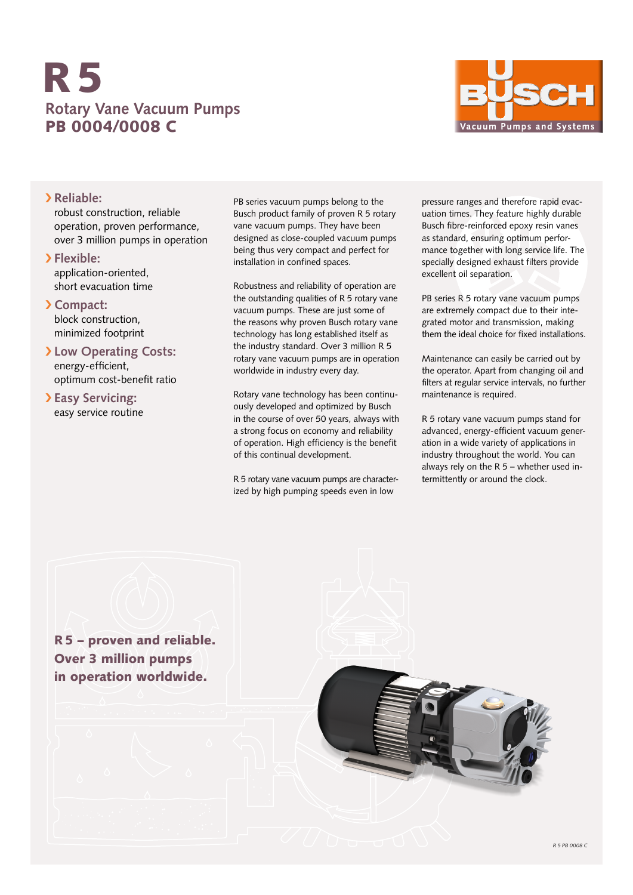# **Rotary Vane Vacuum Pumps** PB 0004/0008 C R5



### › **Reliable:**

robust construction, reliable operation, proven performance, over 3 million pumps in operation

- › **Flexible:** application-oriented, short evacuation time
- › **Compact:** block construction, minimized footprint
- › **Low Operating Costs:** energy-efficient, optimum cost-benefit ratio
- › **Easy Servicing:** easy service routine

PB series vacuum pumps belong to the Busch product family of proven R 5 rotary vane vacuum pumps. They have been designed as close-coupled vacuum pumps being thus very compact and perfect for installation in confined spaces.

Robustness and reliability of operation are the outstanding qualities of R 5 rotary vane vacuum pumps. These are just some of the reasons why proven Busch rotary vane technology has long established itself as the industry standard. Over 3 million R 5 rotary vane vacuum pumps are in operation worldwide in industry every day.

Rotary vane technology has been continuously developed and optimized by Busch in the course of over 50 years, always with a strong focus on economy and reliability of operation. High efficiency is the benefit of this continual development.

R 5 rotary vane vacuum pumps are characterized by high pumping speeds even in low

pressure ranges and therefore rapid evacuation times. They feature highly durable Busch fibre-reinforced epoxy resin vanes as standard, ensuring optimum performance together with long service life. The specially designed exhaust filters provide excellent oil separation.

PB series R 5 rotary vane vacuum pumps are extremely compact due to their integrated motor and transmission, making them the ideal choice for fixed installations.

Maintenance can easily be carried out by the operator. Apart from changing oil and filters at regular service intervals, no further maintenance is required.

R 5 rotary vane vacuum pumps stand for advanced, energy-efficient vacuum generation in a wide variety of applications in industry throughout the world. You can always rely on the R 5 – whether used intermittently or around the clock.

R5 – proven and reliable. Over 3 million pumps in operation worldwide.